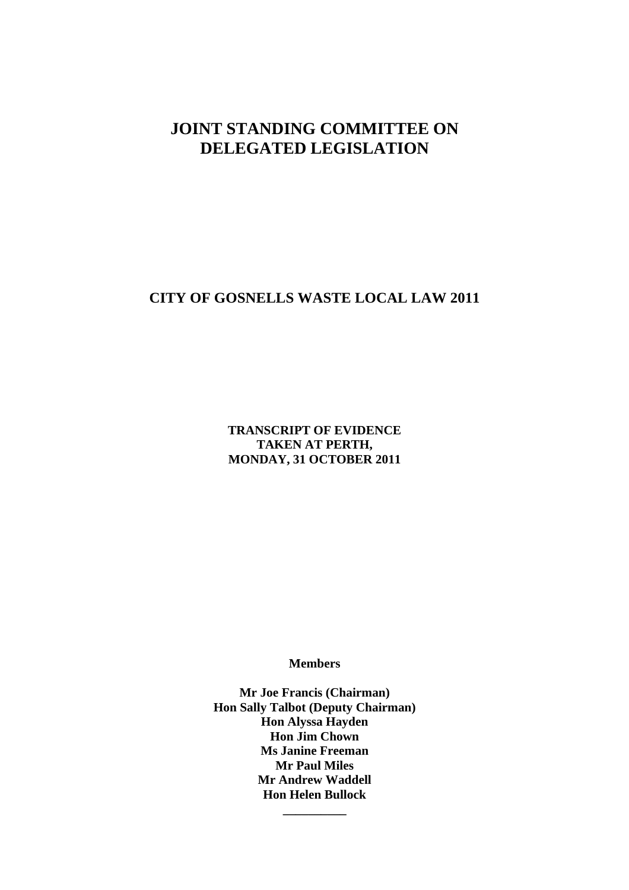# **JOINT STANDING COMMITTEE ON DELEGATED LEGISLATION**

# **CITY OF GOSNELLS WASTE LOCAL LAW 2011**

**TRANSCRIPT OF EVIDENCE TAKEN AT PERTH, MONDAY, 31 OCTOBER 2011**

**Members**

**Mr Joe Francis (Chairman) Hon Sally Talbot (Deputy Chairman) Hon Alyssa Hayden Hon Jim Chown Ms Janine Freeman Mr Paul Miles Mr Andrew Waddell Hon Helen Bullock** 

**\_\_\_\_\_\_\_\_\_\_**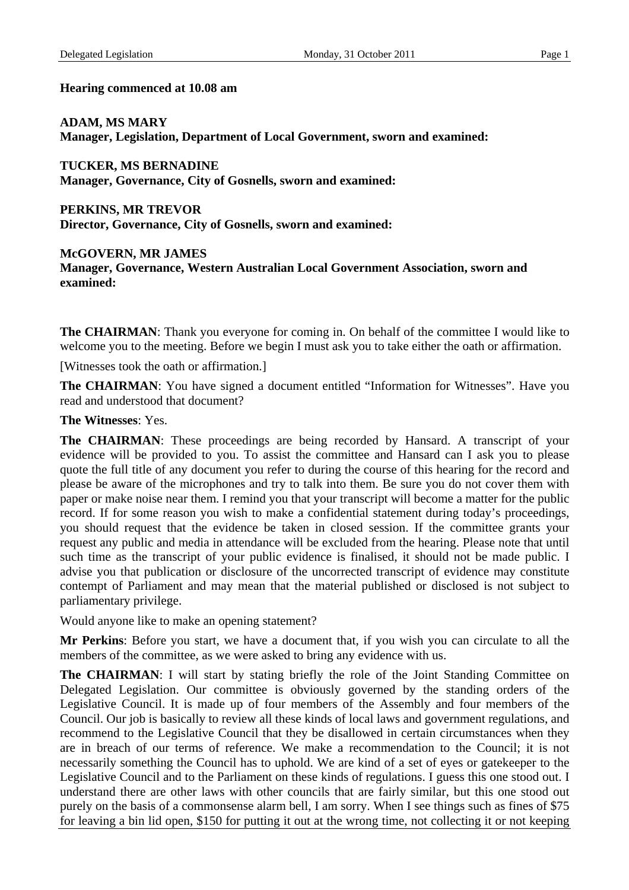#### **Hearing commenced at 10.08 am**

#### **ADAM, MS MARY**

**Manager, Legislation, Department of Local Government, sworn and examined:**

**TUCKER, MS BERNADINE Manager, Governance, City of Gosnells, sworn and examined:**

**PERKINS, MR TREVOR Director, Governance, City of Gosnells, sworn and examined:** 

**McGOVERN, MR JAMES** 

**Manager, Governance, Western Australian Local Government Association, sworn and examined:**

**The CHAIRMAN:** Thank you everyone for coming in. On behalf of the committee I would like to welcome you to the meeting. Before we begin I must ask you to take either the oath or affirmation.

[Witnesses took the oath or affirmation.]

**The CHAIRMAN**: You have signed a document entitled "Information for Witnesses". Have you read and understood that document?

#### **The Witnesses**: Yes.

**The CHAIRMAN**: These proceedings are being recorded by Hansard. A transcript of your evidence will be provided to you. To assist the committee and Hansard can I ask you to please quote the full title of any document you refer to during the course of this hearing for the record and please be aware of the microphones and try to talk into them. Be sure you do not cover them with paper or make noise near them. I remind you that your transcript will become a matter for the public record. If for some reason you wish to make a confidential statement during today's proceedings, you should request that the evidence be taken in closed session. If the committee grants your request any public and media in attendance will be excluded from the hearing. Please note that until such time as the transcript of your public evidence is finalised, it should not be made public. I advise you that publication or disclosure of the uncorrected transcript of evidence may constitute contempt of Parliament and may mean that the material published or disclosed is not subject to parliamentary privilege.

Would anyone like to make an opening statement?

**Mr Perkins**: Before you start, we have a document that, if you wish you can circulate to all the members of the committee, as we were asked to bring any evidence with us.

The CHAIRMAN: I will start by stating briefly the role of the Joint Standing Committee on Delegated Legislation. Our committee is obviously governed by the standing orders of the Legislative Council. It is made up of four members of the Assembly and four members of the Council. Our job is basically to review all these kinds of local laws and government regulations, and recommend to the Legislative Council that they be disallowed in certain circumstances when they are in breach of our terms of reference. We make a recommendation to the Council; it is not necessarily something the Council has to uphold. We are kind of a set of eyes or gatekeeper to the Legislative Council and to the Parliament on these kinds of regulations. I guess this one stood out. I understand there are other laws with other councils that are fairly similar, but this one stood out purely on the basis of a commonsense alarm bell, I am sorry. When I see things such as fines of \$75 for leaving a bin lid open, \$150 for putting it out at the wrong time, not collecting it or not keeping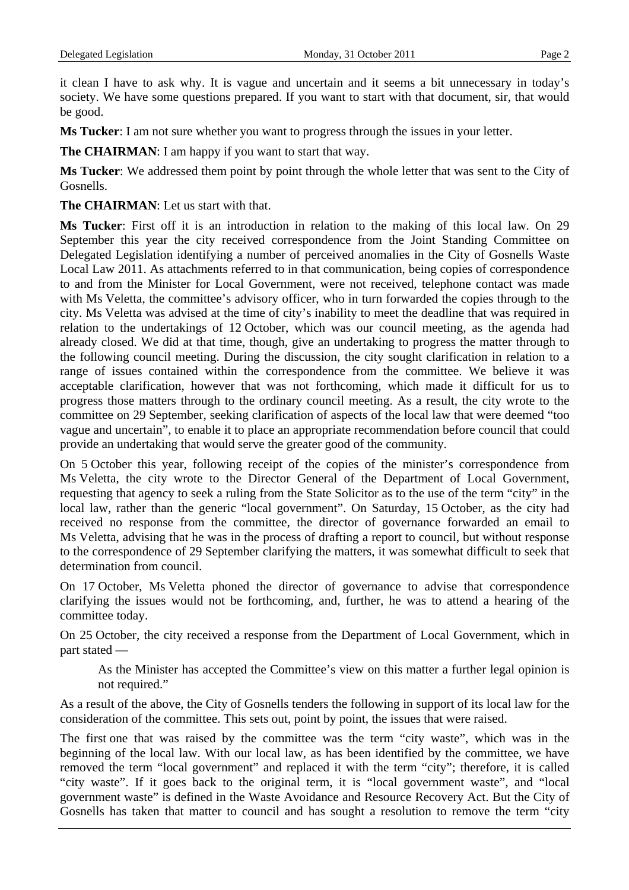it clean I have to ask why. It is vague and uncertain and it seems a bit unnecessary in today's society. We have some questions prepared. If you want to start with that document, sir, that would be good.

**Ms Tucker**: I am not sure whether you want to progress through the issues in your letter.

**The CHAIRMAN:** I am happy if you want to start that way.

**Ms Tucker**: We addressed them point by point through the whole letter that was sent to the City of Gosnells.

**The CHAIRMAN**: Let us start with that.

**Ms Tucker**: First off it is an introduction in relation to the making of this local law. On 29 September this year the city received correspondence from the Joint Standing Committee on Delegated Legislation identifying a number of perceived anomalies in the City of Gosnells Waste Local Law 2011. As attachments referred to in that communication, being copies of correspondence to and from the Minister for Local Government, were not received, telephone contact was made with Ms Veletta, the committee's advisory officer, who in turn forwarded the copies through to the city. Ms Veletta was advised at the time of city's inability to meet the deadline that was required in relation to the undertakings of 12 October, which was our council meeting, as the agenda had already closed. We did at that time, though, give an undertaking to progress the matter through to the following council meeting. During the discussion, the city sought clarification in relation to a range of issues contained within the correspondence from the committee. We believe it was acceptable clarification, however that was not forthcoming, which made it difficult for us to progress those matters through to the ordinary council meeting. As a result, the city wrote to the committee on 29 September, seeking clarification of aspects of the local law that were deemed "too vague and uncertain", to enable it to place an appropriate recommendation before council that could provide an undertaking that would serve the greater good of the community.

On 5 October this year, following receipt of the copies of the minister's correspondence from Ms Veletta, the city wrote to the Director General of the Department of Local Government, requesting that agency to seek a ruling from the State Solicitor as to the use of the term "city" in the local law, rather than the generic "local government". On Saturday, 15 October, as the city had received no response from the committee, the director of governance forwarded an email to Ms Veletta, advising that he was in the process of drafting a report to council, but without response to the correspondence of 29 September clarifying the matters, it was somewhat difficult to seek that determination from council.

On 17 October, Ms Veletta phoned the director of governance to advise that correspondence clarifying the issues would not be forthcoming, and, further, he was to attend a hearing of the committee today.

On 25 October, the city received a response from the Department of Local Government, which in part stated —

As the Minister has accepted the Committee's view on this matter a further legal opinion is not required."

As a result of the above, the City of Gosnells tenders the following in support of its local law for the consideration of the committee. This sets out, point by point, the issues that were raised.

The first one that was raised by the committee was the term "city waste", which was in the beginning of the local law. With our local law, as has been identified by the committee, we have removed the term "local government" and replaced it with the term "city"; therefore, it is called "city waste". If it goes back to the original term, it is "local government waste", and "local government waste" is defined in the Waste Avoidance and Resource Recovery Act. But the City of Gosnells has taken that matter to council and has sought a resolution to remove the term "city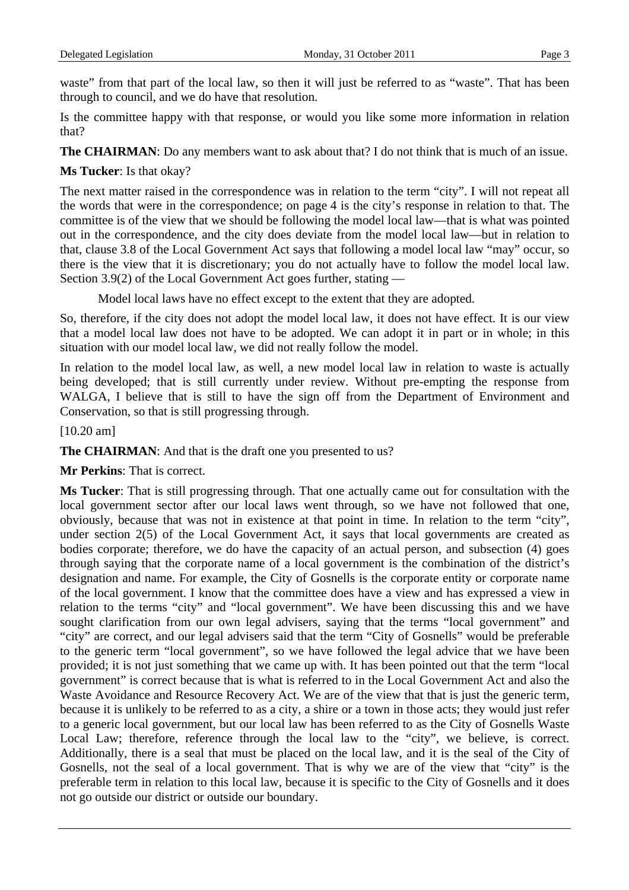waste" from that part of the local law, so then it will just be referred to as "waste". That has been through to council, and we do have that resolution.

Is the committee happy with that response, or would you like some more information in relation that?

**The CHAIRMAN**: Do any members want to ask about that? I do not think that is much of an issue.

# **Ms Tucker**: Is that okay?

The next matter raised in the correspondence was in relation to the term "city". I will not repeat all the words that were in the correspondence; on page 4 is the city's response in relation to that. The committee is of the view that we should be following the model local law—that is what was pointed out in the correspondence, and the city does deviate from the model local law—but in relation to that, clause 3.8 of the Local Government Act says that following a model local law "may" occur, so there is the view that it is discretionary; you do not actually have to follow the model local law. Section 3.9(2) of the Local Government Act goes further, stating —

Model local laws have no effect except to the extent that they are adopted.

So, therefore, if the city does not adopt the model local law, it does not have effect. It is our view that a model local law does not have to be adopted. We can adopt it in part or in whole; in this situation with our model local law, we did not really follow the model.

In relation to the model local law, as well, a new model local law in relation to waste is actually being developed; that is still currently under review. Without pre-empting the response from WALGA, I believe that is still to have the sign off from the Department of Environment and Conservation, so that is still progressing through.

[10.20 am]

**The CHAIRMAN**: And that is the draft one you presented to us?

**Mr Perkins**: That is correct.

**Ms Tucker**: That is still progressing through. That one actually came out for consultation with the local government sector after our local laws went through, so we have not followed that one, obviously, because that was not in existence at that point in time. In relation to the term "city", under section 2(5) of the Local Government Act, it says that local governments are created as bodies corporate; therefore, we do have the capacity of an actual person, and subsection (4) goes through saying that the corporate name of a local government is the combination of the district's designation and name. For example, the City of Gosnells is the corporate entity or corporate name of the local government. I know that the committee does have a view and has expressed a view in relation to the terms "city" and "local government". We have been discussing this and we have sought clarification from our own legal advisers, saying that the terms "local government" and "city" are correct, and our legal advisers said that the term "City of Gosnells" would be preferable to the generic term "local government", so we have followed the legal advice that we have been provided; it is not just something that we came up with. It has been pointed out that the term "local government" is correct because that is what is referred to in the Local Government Act and also the Waste Avoidance and Resource Recovery Act. We are of the view that that is just the generic term, because it is unlikely to be referred to as a city, a shire or a town in those acts; they would just refer to a generic local government, but our local law has been referred to as the City of Gosnells Waste Local Law; therefore, reference through the local law to the "city", we believe, is correct. Additionally, there is a seal that must be placed on the local law, and it is the seal of the City of Gosnells, not the seal of a local government. That is why we are of the view that "city" is the preferable term in relation to this local law, because it is specific to the City of Gosnells and it does not go outside our district or outside our boundary.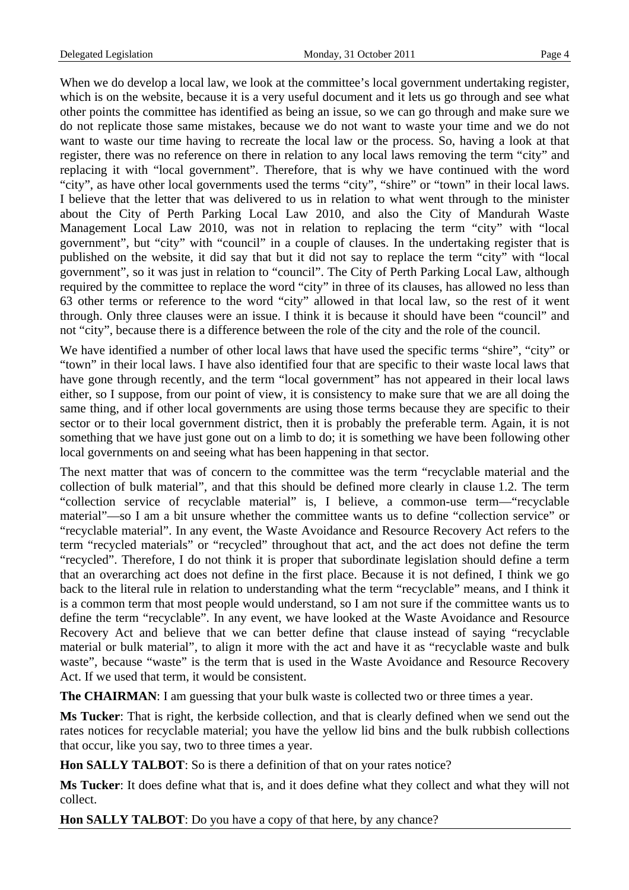When we do develop a local law, we look at the committee's local government undertaking register, which is on the website, because it is a very useful document and it lets us go through and see what other points the committee has identified as being an issue, so we can go through and make sure we do not replicate those same mistakes, because we do not want to waste your time and we do not want to waste our time having to recreate the local law or the process. So, having a look at that register, there was no reference on there in relation to any local laws removing the term "city" and replacing it with "local government". Therefore, that is why we have continued with the word "city", as have other local governments used the terms "city", "shire" or "town" in their local laws. I believe that the letter that was delivered to us in relation to what went through to the minister about the City of Perth Parking Local Law 2010, and also the City of Mandurah Waste Management Local Law 2010, was not in relation to replacing the term "city" with "local government", but "city" with "council" in a couple of clauses. In the undertaking register that is published on the website, it did say that but it did not say to replace the term "city" with "local government", so it was just in relation to "council". The City of Perth Parking Local Law, although required by the committee to replace the word "city" in three of its clauses, has allowed no less than 63 other terms or reference to the word "city" allowed in that local law, so the rest of it went through. Only three clauses were an issue. I think it is because it should have been "council" and not "city", because there is a difference between the role of the city and the role of the council.

We have identified a number of other local laws that have used the specific terms "shire", "city" or "town" in their local laws. I have also identified four that are specific to their waste local laws that have gone through recently, and the term "local government" has not appeared in their local laws either, so I suppose, from our point of view, it is consistency to make sure that we are all doing the same thing, and if other local governments are using those terms because they are specific to their sector or to their local government district, then it is probably the preferable term. Again, it is not something that we have just gone out on a limb to do; it is something we have been following other local governments on and seeing what has been happening in that sector.

The next matter that was of concern to the committee was the term "recyclable material and the collection of bulk material", and that this should be defined more clearly in clause 1.2. The term "collection service of recyclable material" is, I believe, a common-use term—"recyclable material"—so I am a bit unsure whether the committee wants us to define "collection service" or "recyclable material". In any event, the Waste Avoidance and Resource Recovery Act refers to the term "recycled materials" or "recycled" throughout that act, and the act does not define the term "recycled". Therefore, I do not think it is proper that subordinate legislation should define a term that an overarching act does not define in the first place. Because it is not defined, I think we go back to the literal rule in relation to understanding what the term "recyclable" means, and I think it is a common term that most people would understand, so I am not sure if the committee wants us to define the term "recyclable". In any event, we have looked at the Waste Avoidance and Resource Recovery Act and believe that we can better define that clause instead of saying "recyclable material or bulk material", to align it more with the act and have it as "recyclable waste and bulk waste", because "waste" is the term that is used in the Waste Avoidance and Resource Recovery Act. If we used that term, it would be consistent.

**The CHAIRMAN**: I am guessing that your bulk waste is collected two or three times a year.

**Ms Tucker**: That is right, the kerbside collection, and that is clearly defined when we send out the rates notices for recyclable material; you have the yellow lid bins and the bulk rubbish collections that occur, like you say, two to three times a year.

**Hon SALLY TALBOT**: So is there a definition of that on your rates notice?

**Ms Tucker**: It does define what that is, and it does define what they collect and what they will not collect.

**Hon SALLY TALBOT**: Do you have a copy of that here, by any chance?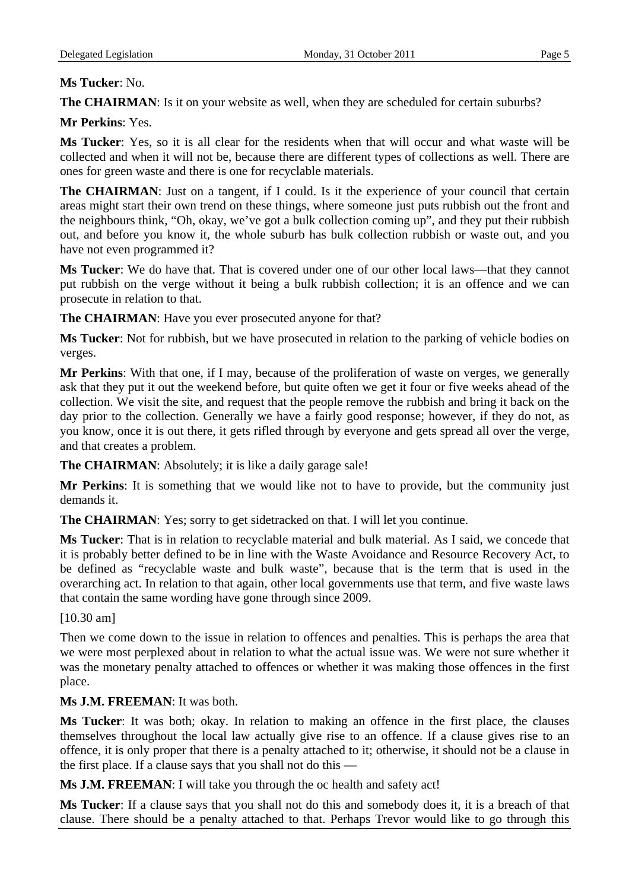### **Ms Tucker**: No.

**The CHAIRMAN:** Is it on your website as well, when they are scheduled for certain suburbs?

## **Mr Perkins**: Yes.

**Ms Tucker**: Yes, so it is all clear for the residents when that will occur and what waste will be collected and when it will not be, because there are different types of collections as well. There are ones for green waste and there is one for recyclable materials.

**The CHAIRMAN:** Just on a tangent, if I could. Is it the experience of your council that certain areas might start their own trend on these things, where someone just puts rubbish out the front and the neighbours think, "Oh, okay, we've got a bulk collection coming up", and they put their rubbish out, and before you know it, the whole suburb has bulk collection rubbish or waste out, and you have not even programmed it?

**Ms Tucker**: We do have that. That is covered under one of our other local laws—that they cannot put rubbish on the verge without it being a bulk rubbish collection; it is an offence and we can prosecute in relation to that.

**The CHAIRMAN**: Have you ever prosecuted anyone for that?

**Ms Tucker**: Not for rubbish, but we have prosecuted in relation to the parking of vehicle bodies on verges.

**Mr Perkins**: With that one, if I may, because of the proliferation of waste on verges, we generally ask that they put it out the weekend before, but quite often we get it four or five weeks ahead of the collection. We visit the site, and request that the people remove the rubbish and bring it back on the day prior to the collection. Generally we have a fairly good response; however, if they do not, as you know, once it is out there, it gets rifled through by everyone and gets spread all over the verge, and that creates a problem.

**The CHAIRMAN**: Absolutely; it is like a daily garage sale!

**Mr Perkins**: It is something that we would like not to have to provide, but the community just demands it.

**The CHAIRMAN**: Yes; sorry to get sidetracked on that. I will let you continue.

**Ms Tucker**: That is in relation to recyclable material and bulk material. As I said, we concede that it is probably better defined to be in line with the Waste Avoidance and Resource Recovery Act, to be defined as "recyclable waste and bulk waste", because that is the term that is used in the overarching act. In relation to that again, other local governments use that term, and five waste laws that contain the same wording have gone through since 2009.

### [10.30 am]

Then we come down to the issue in relation to offences and penalties. This is perhaps the area that we were most perplexed about in relation to what the actual issue was. We were not sure whether it was the monetary penalty attached to offences or whether it was making those offences in the first place.

## **Ms J.M. FREEMAN**: It was both.

**Ms Tucker**: It was both; okay. In relation to making an offence in the first place, the clauses themselves throughout the local law actually give rise to an offence. If a clause gives rise to an offence, it is only proper that there is a penalty attached to it; otherwise, it should not be a clause in the first place. If a clause says that you shall not do this —

**Ms J.M. FREEMAN**: I will take you through the oc health and safety act!

**Ms Tucker**: If a clause says that you shall not do this and somebody does it, it is a breach of that clause. There should be a penalty attached to that. Perhaps Trevor would like to go through this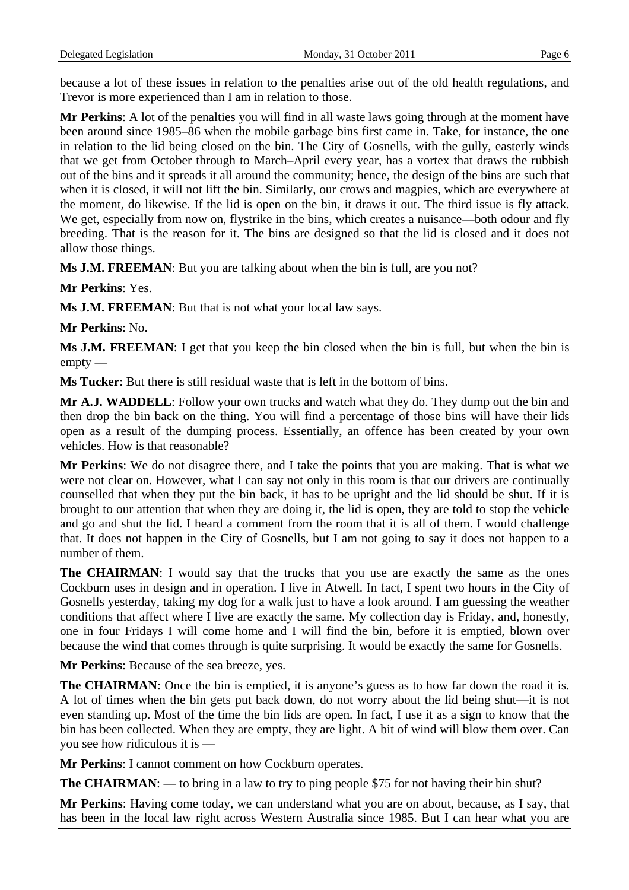because a lot of these issues in relation to the penalties arise out of the old health regulations, and Trevor is more experienced than I am in relation to those.

**Mr Perkins**: A lot of the penalties you will find in all waste laws going through at the moment have been around since 1985–86 when the mobile garbage bins first came in. Take, for instance, the one in relation to the lid being closed on the bin. The City of Gosnells, with the gully, easterly winds that we get from October through to March–April every year, has a vortex that draws the rubbish out of the bins and it spreads it all around the community; hence, the design of the bins are such that when it is closed, it will not lift the bin. Similarly, our crows and magpies, which are everywhere at the moment, do likewise. If the lid is open on the bin, it draws it out. The third issue is fly attack. We get, especially from now on, flystrike in the bins, which creates a nuisance—both odour and fly breeding. That is the reason for it. The bins are designed so that the lid is closed and it does not allow those things.

**Ms J.M. FREEMAN**: But you are talking about when the bin is full, are you not?

**Mr Perkins**: Yes.

**Ms J.M. FREEMAN**: But that is not what your local law says.

**Mr Perkins**: No.

**Ms J.M. FREEMAN**: I get that you keep the bin closed when the bin is full, but when the bin is empty —

**Ms Tucker**: But there is still residual waste that is left in the bottom of bins.

**Mr A.J. WADDELL**: Follow your own trucks and watch what they do. They dump out the bin and then drop the bin back on the thing. You will find a percentage of those bins will have their lids open as a result of the dumping process. Essentially, an offence has been created by your own vehicles. How is that reasonable?

**Mr Perkins**: We do not disagree there, and I take the points that you are making. That is what we were not clear on. However, what I can say not only in this room is that our drivers are continually counselled that when they put the bin back, it has to be upright and the lid should be shut. If it is brought to our attention that when they are doing it, the lid is open, they are told to stop the vehicle and go and shut the lid. I heard a comment from the room that it is all of them. I would challenge that. It does not happen in the City of Gosnells, but I am not going to say it does not happen to a number of them.

The CHAIRMAN: I would say that the trucks that you use are exactly the same as the ones Cockburn uses in design and in operation. I live in Atwell. In fact, I spent two hours in the City of Gosnells yesterday, taking my dog for a walk just to have a look around. I am guessing the weather conditions that affect where I live are exactly the same. My collection day is Friday, and, honestly, one in four Fridays I will come home and I will find the bin, before it is emptied, blown over because the wind that comes through is quite surprising. It would be exactly the same for Gosnells.

**Mr Perkins**: Because of the sea breeze, yes.

**The CHAIRMAN**: Once the bin is emptied, it is anyone's guess as to how far down the road it is. A lot of times when the bin gets put back down, do not worry about the lid being shut—it is not even standing up. Most of the time the bin lids are open. In fact, I use it as a sign to know that the bin has been collected. When they are empty, they are light. A bit of wind will blow them over. Can you see how ridiculous it is —

**Mr Perkins**: I cannot comment on how Cockburn operates.

**The CHAIRMAN:** — to bring in a law to try to ping people \$75 for not having their bin shut?

**Mr Perkins**: Having come today, we can understand what you are on about, because, as I say, that has been in the local law right across Western Australia since 1985. But I can hear what you are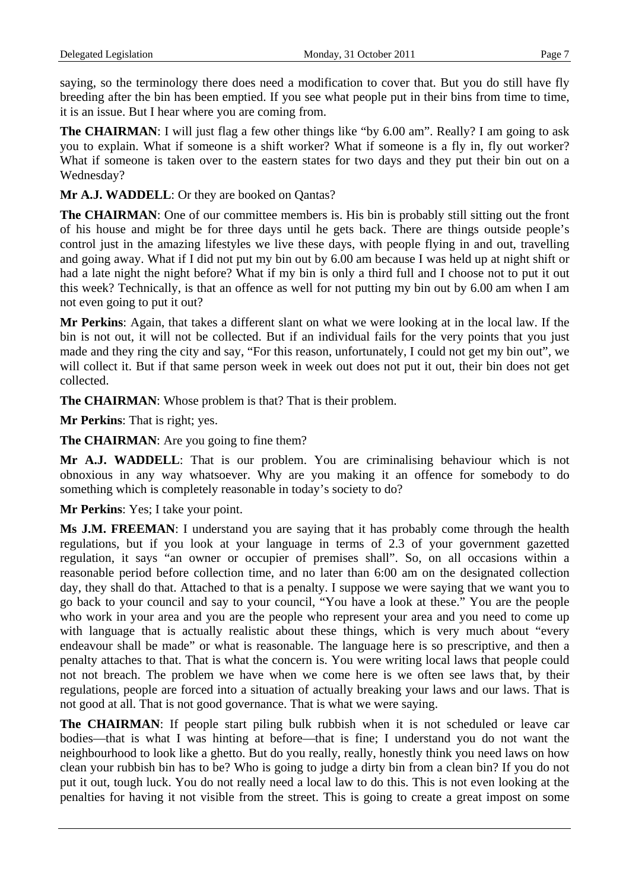saying, so the terminology there does need a modification to cover that. But you do still have fly breeding after the bin has been emptied. If you see what people put in their bins from time to time, it is an issue. But I hear where you are coming from.

**The CHAIRMAN**: I will just flag a few other things like "by 6.00 am". Really? I am going to ask you to explain. What if someone is a shift worker? What if someone is a fly in, fly out worker? What if someone is taken over to the eastern states for two days and they put their bin out on a Wednesday?

**Mr A.J. WADDELL**: Or they are booked on Qantas?

**The CHAIRMAN**: One of our committee members is. His bin is probably still sitting out the front of his house and might be for three days until he gets back. There are things outside people's control just in the amazing lifestyles we live these days, with people flying in and out, travelling and going away. What if I did not put my bin out by 6.00 am because I was held up at night shift or had a late night the night before? What if my bin is only a third full and I choose not to put it out this week? Technically, is that an offence as well for not putting my bin out by 6.00 am when I am not even going to put it out?

**Mr Perkins**: Again, that takes a different slant on what we were looking at in the local law. If the bin is not out, it will not be collected. But if an individual fails for the very points that you just made and they ring the city and say, "For this reason, unfortunately, I could not get my bin out", we will collect it. But if that same person week in week out does not put it out, their bin does not get collected.

**The CHAIRMAN**: Whose problem is that? That is their problem.

**Mr Perkins**: That is right; yes.

**The CHAIRMAN:** Are you going to fine them?

**Mr A.J. WADDELL**: That is our problem. You are criminalising behaviour which is not obnoxious in any way whatsoever. Why are you making it an offence for somebody to do something which is completely reasonable in today's society to do?

**Mr Perkins**: Yes; I take your point.

**Ms J.M. FREEMAN**: I understand you are saying that it has probably come through the health regulations, but if you look at your language in terms of 2.3 of your government gazetted regulation, it says "an owner or occupier of premises shall". So, on all occasions within a reasonable period before collection time, and no later than 6:00 am on the designated collection day, they shall do that. Attached to that is a penalty. I suppose we were saying that we want you to go back to your council and say to your council, "You have a look at these." You are the people who work in your area and you are the people who represent your area and you need to come up with language that is actually realistic about these things, which is very much about "every endeavour shall be made" or what is reasonable. The language here is so prescriptive, and then a penalty attaches to that. That is what the concern is. You were writing local laws that people could not not breach. The problem we have when we come here is we often see laws that, by their regulations, people are forced into a situation of actually breaking your laws and our laws. That is not good at all. That is not good governance. That is what we were saying.

**The CHAIRMAN**: If people start piling bulk rubbish when it is not scheduled or leave car bodies—that is what I was hinting at before—that is fine; I understand you do not want the neighbourhood to look like a ghetto. But do you really, really, honestly think you need laws on how clean your rubbish bin has to be? Who is going to judge a dirty bin from a clean bin? If you do not put it out, tough luck. You do not really need a local law to do this. This is not even looking at the penalties for having it not visible from the street. This is going to create a great impost on some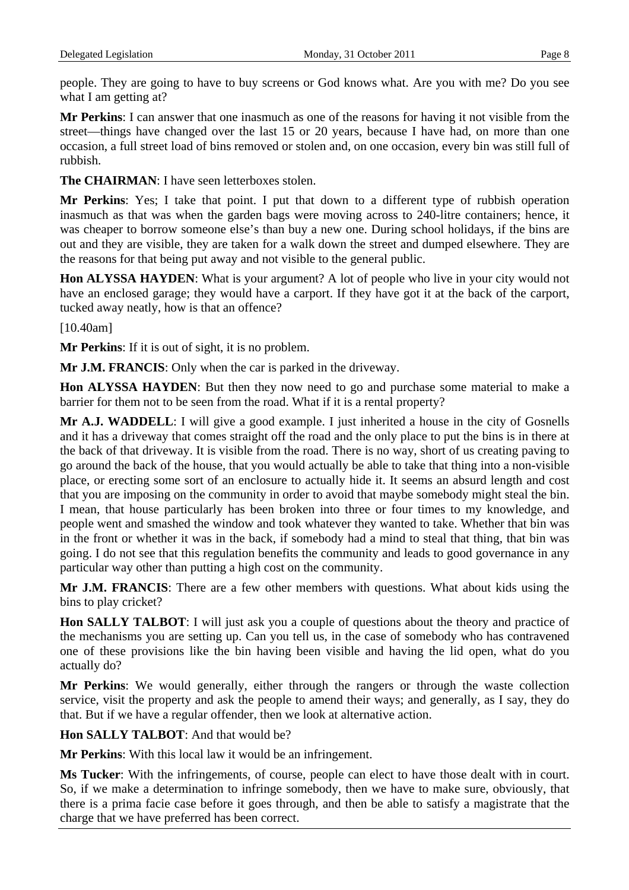people. They are going to have to buy screens or God knows what. Are you with me? Do you see what I am getting at?

**Mr Perkins**: I can answer that one inasmuch as one of the reasons for having it not visible from the street—things have changed over the last 15 or 20 years, because I have had, on more than one occasion, a full street load of bins removed or stolen and, on one occasion, every bin was still full of rubbish.

**The CHAIRMAN**: I have seen letterboxes stolen.

**Mr Perkins**: Yes; I take that point. I put that down to a different type of rubbish operation inasmuch as that was when the garden bags were moving across to 240-litre containers; hence, it was cheaper to borrow someone else's than buy a new one. During school holidays, if the bins are out and they are visible, they are taken for a walk down the street and dumped elsewhere. They are the reasons for that being put away and not visible to the general public.

**Hon ALYSSA HAYDEN**: What is your argument? A lot of people who live in your city would not have an enclosed garage; they would have a carport. If they have got it at the back of the carport, tucked away neatly, how is that an offence?

[10.40am]

**Mr Perkins**: If it is out of sight, it is no problem.

**Mr J.M. FRANCIS**: Only when the car is parked in the driveway.

**Hon ALYSSA HAYDEN**: But then they now need to go and purchase some material to make a barrier for them not to be seen from the road. What if it is a rental property?

**Mr A.J. WADDELL**: I will give a good example. I just inherited a house in the city of Gosnells and it has a driveway that comes straight off the road and the only place to put the bins is in there at the back of that driveway. It is visible from the road. There is no way, short of us creating paving to go around the back of the house, that you would actually be able to take that thing into a non-visible place, or erecting some sort of an enclosure to actually hide it. It seems an absurd length and cost that you are imposing on the community in order to avoid that maybe somebody might steal the bin. I mean, that house particularly has been broken into three or four times to my knowledge, and people went and smashed the window and took whatever they wanted to take. Whether that bin was in the front or whether it was in the back, if somebody had a mind to steal that thing, that bin was going. I do not see that this regulation benefits the community and leads to good governance in any particular way other than putting a high cost on the community.

**Mr J.M. FRANCIS**: There are a few other members with questions. What about kids using the bins to play cricket?

**Hon SALLY TALBOT**: I will just ask you a couple of questions about the theory and practice of the mechanisms you are setting up. Can you tell us, in the case of somebody who has contravened one of these provisions like the bin having been visible and having the lid open, what do you actually do?

**Mr Perkins**: We would generally, either through the rangers or through the waste collection service, visit the property and ask the people to amend their ways; and generally, as I say, they do that. But if we have a regular offender, then we look at alternative action.

**Hon SALLY TALBOT**: And that would be?

**Mr Perkins**: With this local law it would be an infringement.

**Ms Tucker**: With the infringements, of course, people can elect to have those dealt with in court. So, if we make a determination to infringe somebody, then we have to make sure, obviously, that there is a prima facie case before it goes through, and then be able to satisfy a magistrate that the charge that we have preferred has been correct.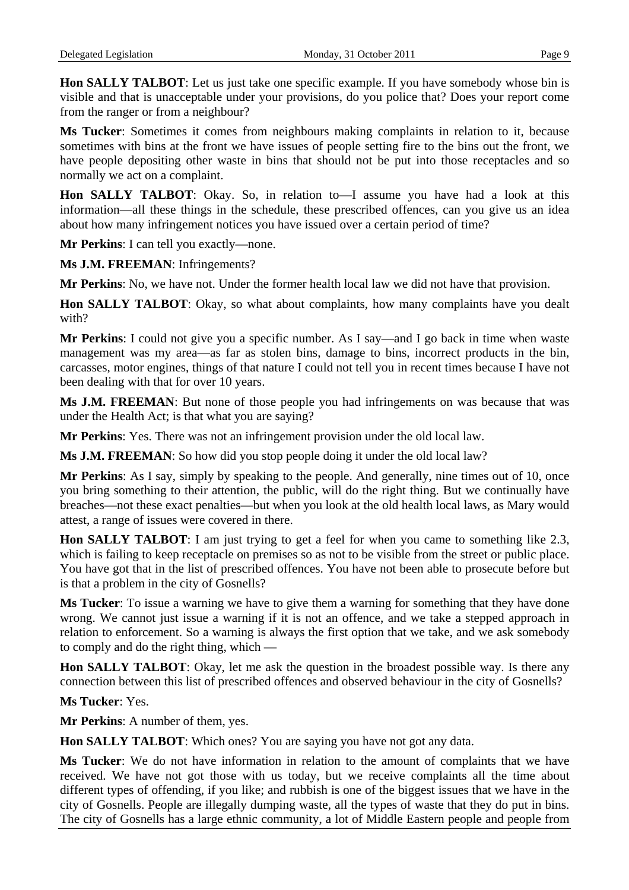**Hon SALLY TALBOT**: Let us just take one specific example. If you have somebody whose bin is visible and that is unacceptable under your provisions, do you police that? Does your report come from the ranger or from a neighbour?

**Ms Tucker**: Sometimes it comes from neighbours making complaints in relation to it, because sometimes with bins at the front we have issues of people setting fire to the bins out the front, we have people depositing other waste in bins that should not be put into those receptacles and so normally we act on a complaint.

**Hon SALLY TALBOT**: Okay. So, in relation to—I assume you have had a look at this information—all these things in the schedule, these prescribed offences, can you give us an idea about how many infringement notices you have issued over a certain period of time?

**Mr Perkins**: I can tell you exactly—none.

**Ms J.M. FREEMAN**: Infringements?

**Mr Perkins**: No, we have not. Under the former health local law we did not have that provision.

**Hon SALLY TALBOT**: Okay, so what about complaints, how many complaints have you dealt with?

**Mr Perkins**: I could not give you a specific number. As I say—and I go back in time when waste management was my area—as far as stolen bins, damage to bins, incorrect products in the bin, carcasses, motor engines, things of that nature I could not tell you in recent times because I have not been dealing with that for over 10 years.

**Ms J.M. FREEMAN**: But none of those people you had infringements on was because that was under the Health Act; is that what you are saying?

**Mr Perkins**: Yes. There was not an infringement provision under the old local law.

**Ms J.M. FREEMAN**: So how did you stop people doing it under the old local law?

**Mr Perkins**: As I say, simply by speaking to the people. And generally, nine times out of 10, once you bring something to their attention, the public, will do the right thing. But we continually have breaches—not these exact penalties—but when you look at the old health local laws, as Mary would attest, a range of issues were covered in there.

**Hon SALLY TALBOT**: I am just trying to get a feel for when you came to something like 2.3, which is failing to keep receptacle on premises so as not to be visible from the street or public place. You have got that in the list of prescribed offences. You have not been able to prosecute before but is that a problem in the city of Gosnells?

**Ms Tucker**: To issue a warning we have to give them a warning for something that they have done wrong. We cannot just issue a warning if it is not an offence, and we take a stepped approach in relation to enforcement. So a warning is always the first option that we take, and we ask somebody to comply and do the right thing, which —

**Hon SALLY TALBOT**: Okay, let me ask the question in the broadest possible way. Is there any connection between this list of prescribed offences and observed behaviour in the city of Gosnells?

**Ms Tucker**: Yes.

**Mr Perkins**: A number of them, yes.

**Hon SALLY TALBOT:** Which ones? You are saying you have not got any data.

**Ms Tucker**: We do not have information in relation to the amount of complaints that we have received. We have not got those with us today, but we receive complaints all the time about different types of offending, if you like; and rubbish is one of the biggest issues that we have in the city of Gosnells. People are illegally dumping waste, all the types of waste that they do put in bins. The city of Gosnells has a large ethnic community, a lot of Middle Eastern people and people from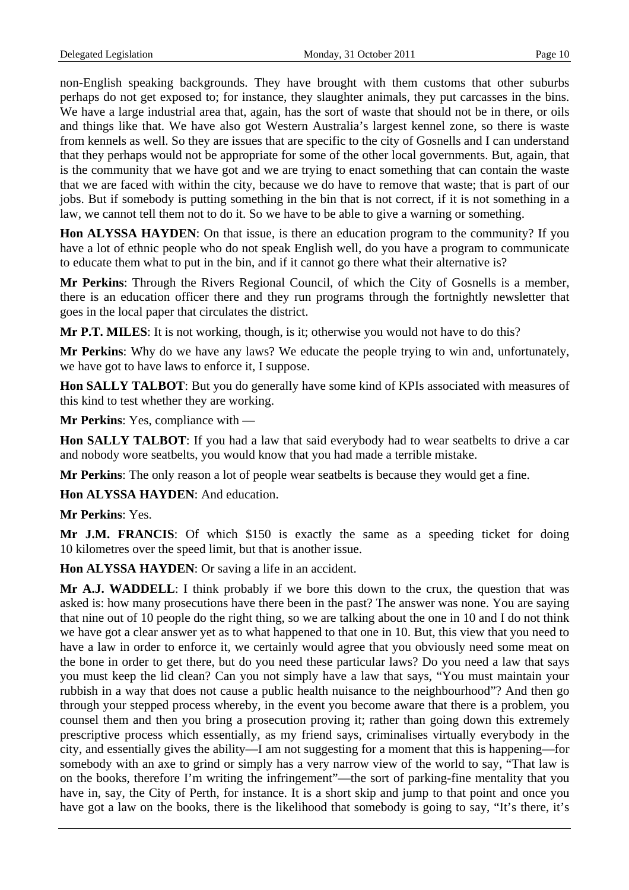non-English speaking backgrounds. They have brought with them customs that other suburbs perhaps do not get exposed to; for instance, they slaughter animals, they put carcasses in the bins. We have a large industrial area that, again, has the sort of waste that should not be in there, or oils and things like that. We have also got Western Australia's largest kennel zone, so there is waste from kennels as well. So they are issues that are specific to the city of Gosnells and I can understand that they perhaps would not be appropriate for some of the other local governments. But, again, that is the community that we have got and we are trying to enact something that can contain the waste that we are faced with within the city, because we do have to remove that waste; that is part of our jobs. But if somebody is putting something in the bin that is not correct, if it is not something in a law, we cannot tell them not to do it. So we have to be able to give a warning or something.

**Hon ALYSSA HAYDEN**: On that issue, is there an education program to the community? If you have a lot of ethnic people who do not speak English well, do you have a program to communicate to educate them what to put in the bin, and if it cannot go there what their alternative is?

**Mr Perkins**: Through the Rivers Regional Council, of which the City of Gosnells is a member, there is an education officer there and they run programs through the fortnightly newsletter that goes in the local paper that circulates the district.

**Mr P.T. MILES**: It is not working, though, is it; otherwise you would not have to do this?

**Mr Perkins**: Why do we have any laws? We educate the people trying to win and, unfortunately, we have got to have laws to enforce it, I suppose.

**Hon SALLY TALBOT**: But you do generally have some kind of KPIs associated with measures of this kind to test whether they are working.

**Mr Perkins**: Yes, compliance with —

**Hon SALLY TALBOT**: If you had a law that said everybody had to wear seatbelts to drive a car and nobody wore seatbelts, you would know that you had made a terrible mistake.

**Mr Perkins**: The only reason a lot of people wear seatbelts is because they would get a fine.

**Hon ALYSSA HAYDEN**: And education.

**Mr Perkins**: Yes.

**Mr J.M. FRANCIS**: Of which \$150 is exactly the same as a speeding ticket for doing 10 kilometres over the speed limit, but that is another issue.

**Hon ALYSSA HAYDEN**: Or saving a life in an accident.

**Mr A.J. WADDELL**: I think probably if we bore this down to the crux, the question that was asked is: how many prosecutions have there been in the past? The answer was none. You are saying that nine out of 10 people do the right thing, so we are talking about the one in 10 and I do not think we have got a clear answer yet as to what happened to that one in 10. But, this view that you need to have a law in order to enforce it, we certainly would agree that you obviously need some meat on the bone in order to get there, but do you need these particular laws? Do you need a law that says you must keep the lid clean? Can you not simply have a law that says, "You must maintain your rubbish in a way that does not cause a public health nuisance to the neighbourhood"? And then go through your stepped process whereby, in the event you become aware that there is a problem, you counsel them and then you bring a prosecution proving it; rather than going down this extremely prescriptive process which essentially, as my friend says, criminalises virtually everybody in the city, and essentially gives the ability—I am not suggesting for a moment that this is happening—for somebody with an axe to grind or simply has a very narrow view of the world to say, "That law is on the books, therefore I'm writing the infringement"—the sort of parking-fine mentality that you have in, say, the City of Perth, for instance. It is a short skip and jump to that point and once you have got a law on the books, there is the likelihood that somebody is going to say, "It's there, it's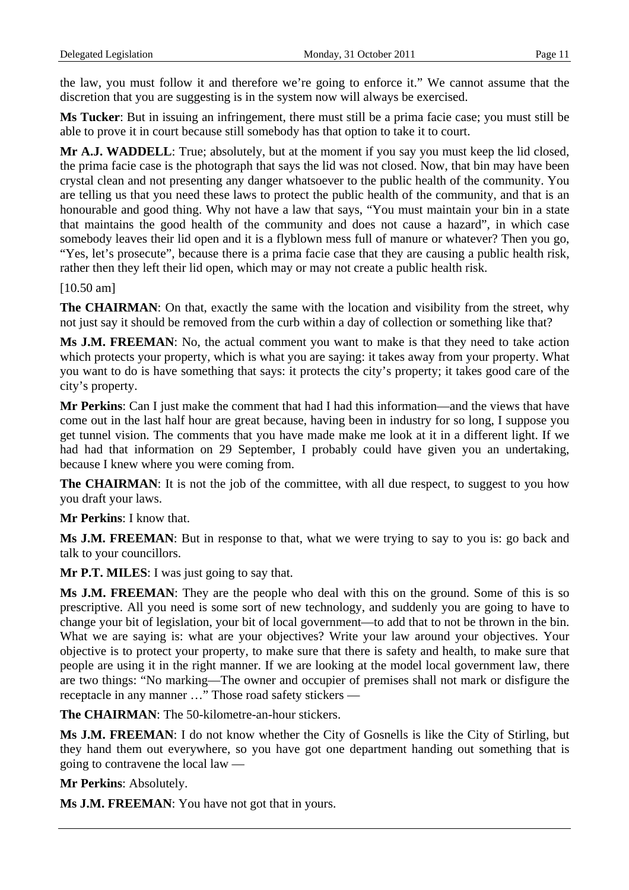the law, you must follow it and therefore we're going to enforce it." We cannot assume that the discretion that you are suggesting is in the system now will always be exercised.

**Ms Tucker**: But in issuing an infringement, there must still be a prima facie case; you must still be able to prove it in court because still somebody has that option to take it to court.

**Mr A.J. WADDELL**: True; absolutely, but at the moment if you say you must keep the lid closed, the prima facie case is the photograph that says the lid was not closed. Now, that bin may have been crystal clean and not presenting any danger whatsoever to the public health of the community. You are telling us that you need these laws to protect the public health of the community, and that is an honourable and good thing. Why not have a law that says, "You must maintain your bin in a state that maintains the good health of the community and does not cause a hazard", in which case somebody leaves their lid open and it is a flyblown mess full of manure or whatever? Then you go, "Yes, let's prosecute", because there is a prima facie case that they are causing a public health risk, rather then they left their lid open, which may or may not create a public health risk.

[10.50 am]

**The CHAIRMAN**: On that, exactly the same with the location and visibility from the street, why not just say it should be removed from the curb within a day of collection or something like that?

**Ms J.M. FREEMAN**: No, the actual comment you want to make is that they need to take action which protects your property, which is what you are saying: it takes away from your property. What you want to do is have something that says: it protects the city's property; it takes good care of the city's property.

**Mr Perkins**: Can I just make the comment that had I had this information—and the views that have come out in the last half hour are great because, having been in industry for so long, I suppose you get tunnel vision. The comments that you have made make me look at it in a different light. If we had had that information on 29 September, I probably could have given you an undertaking, because I knew where you were coming from.

**The CHAIRMAN:** It is not the job of the committee, with all due respect, to suggest to you how you draft your laws.

**Mr Perkins**: I know that.

**Ms J.M. FREEMAN**: But in response to that, what we were trying to say to you is: go back and talk to your councillors.

**Mr P.T. MILES**: I was just going to say that.

**Ms J.M. FREEMAN**: They are the people who deal with this on the ground. Some of this is so prescriptive. All you need is some sort of new technology, and suddenly you are going to have to change your bit of legislation, your bit of local government—to add that to not be thrown in the bin. What we are saying is: what are your objectives? Write your law around your objectives. Your objective is to protect your property, to make sure that there is safety and health, to make sure that people are using it in the right manner. If we are looking at the model local government law, there are two things: "No marking—The owner and occupier of premises shall not mark or disfigure the receptacle in any manner …" Those road safety stickers —

**The CHAIRMAN:** The 50-kilometre-an-hour stickers.

**Ms J.M. FREEMAN**: I do not know whether the City of Gosnells is like the City of Stirling, but they hand them out everywhere, so you have got one department handing out something that is going to contravene the local law —

**Mr Perkins**: Absolutely.

**Ms J.M. FREEMAN**: You have not got that in yours.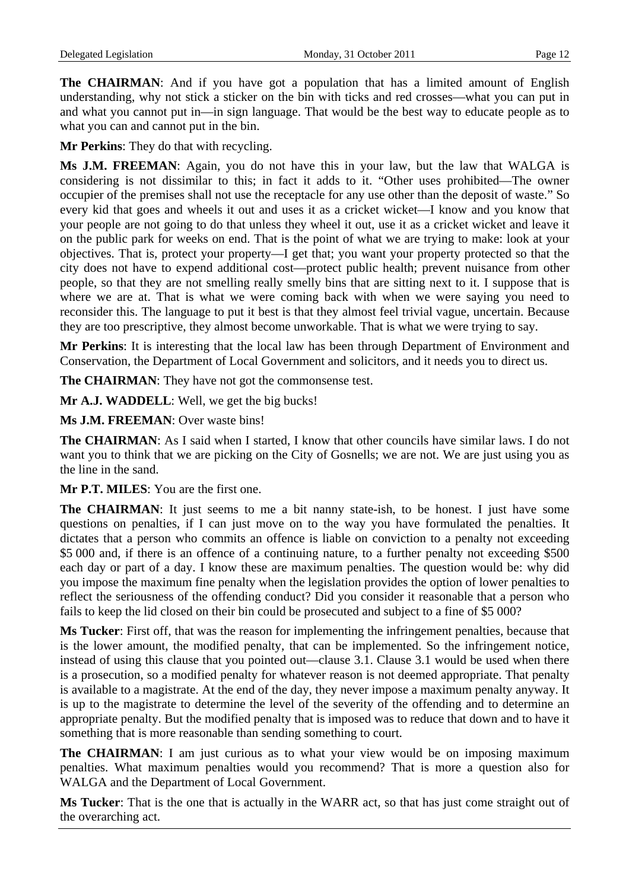**The CHAIRMAN:** And if you have got a population that has a limited amount of English understanding, why not stick a sticker on the bin with ticks and red crosses—what you can put in and what you cannot put in—in sign language. That would be the best way to educate people as to what you can and cannot put in the bin.

**Mr Perkins**: They do that with recycling.

**Ms J.M. FREEMAN**: Again, you do not have this in your law, but the law that WALGA is considering is not dissimilar to this; in fact it adds to it. "Other uses prohibited—The owner occupier of the premises shall not use the receptacle for any use other than the deposit of waste." So every kid that goes and wheels it out and uses it as a cricket wicket—I know and you know that your people are not going to do that unless they wheel it out, use it as a cricket wicket and leave it on the public park for weeks on end. That is the point of what we are trying to make: look at your objectives. That is, protect your property—I get that; you want your property protected so that the city does not have to expend additional cost—protect public health; prevent nuisance from other people, so that they are not smelling really smelly bins that are sitting next to it. I suppose that is where we are at. That is what we were coming back with when we were saying you need to reconsider this. The language to put it best is that they almost feel trivial vague, uncertain. Because they are too prescriptive, they almost become unworkable. That is what we were trying to say.

**Mr Perkins**: It is interesting that the local law has been through Department of Environment and Conservation, the Department of Local Government and solicitors, and it needs you to direct us.

**The CHAIRMAN**: They have not got the commonsense test.

**Mr A.J. WADDELL**: Well, we get the big bucks!

**Ms J.M. FREEMAN**: Over waste bins!

**The CHAIRMAN**: As I said when I started, I know that other councils have similar laws. I do not want you to think that we are picking on the City of Gosnells; we are not. We are just using you as the line in the sand.

**Mr P.T. MILES**: You are the first one.

**The CHAIRMAN:** It just seems to me a bit nanny state-ish, to be honest. I just have some questions on penalties, if I can just move on to the way you have formulated the penalties. It dictates that a person who commits an offence is liable on conviction to a penalty not exceeding \$5 000 and, if there is an offence of a continuing nature, to a further penalty not exceeding \$500 each day or part of a day. I know these are maximum penalties. The question would be: why did you impose the maximum fine penalty when the legislation provides the option of lower penalties to reflect the seriousness of the offending conduct? Did you consider it reasonable that a person who fails to keep the lid closed on their bin could be prosecuted and subject to a fine of \$5 000?

**Ms Tucker**: First off, that was the reason for implementing the infringement penalties, because that is the lower amount, the modified penalty, that can be implemented. So the infringement notice, instead of using this clause that you pointed out—clause 3.1. Clause 3.1 would be used when there is a prosecution, so a modified penalty for whatever reason is not deemed appropriate. That penalty is available to a magistrate. At the end of the day, they never impose a maximum penalty anyway. It is up to the magistrate to determine the level of the severity of the offending and to determine an appropriate penalty. But the modified penalty that is imposed was to reduce that down and to have it something that is more reasonable than sending something to court.

**The CHAIRMAN**: I am just curious as to what your view would be on imposing maximum penalties. What maximum penalties would you recommend? That is more a question also for WALGA and the Department of Local Government.

**Ms Tucker**: That is the one that is actually in the WARR act, so that has just come straight out of the overarching act.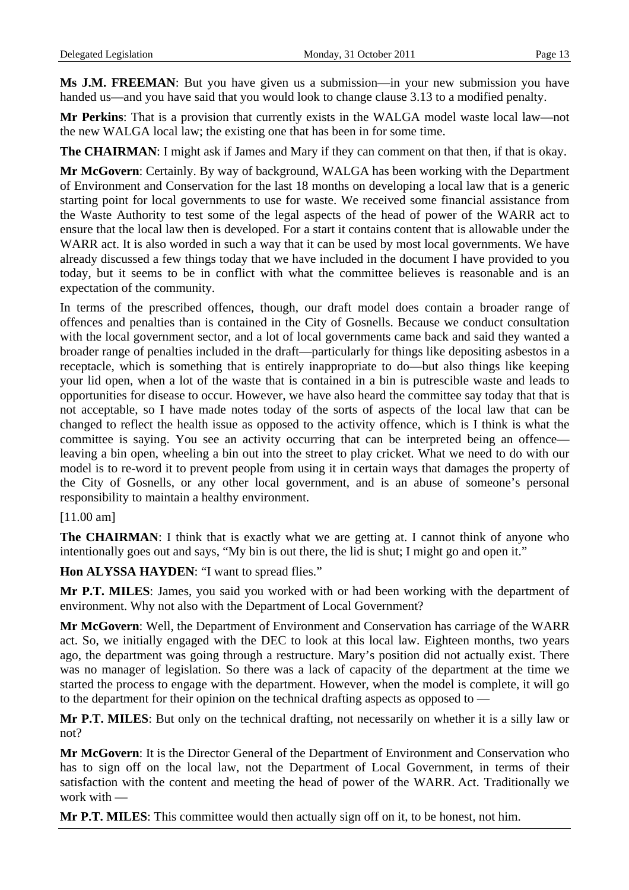**Ms J.M. FREEMAN**: But you have given us a submission—in your new submission you have handed us—and you have said that you would look to change clause 3.13 to a modified penalty.

**Mr Perkins**: That is a provision that currently exists in the WALGA model waste local law—not the new WALGA local law; the existing one that has been in for some time.

**The CHAIRMAN**: I might ask if James and Mary if they can comment on that then, if that is okay.

**Mr McGovern**: Certainly. By way of background, WALGA has been working with the Department of Environment and Conservation for the last 18 months on developing a local law that is a generic starting point for local governments to use for waste. We received some financial assistance from the Waste Authority to test some of the legal aspects of the head of power of the WARR act to ensure that the local law then is developed. For a start it contains content that is allowable under the WARR act. It is also worded in such a way that it can be used by most local governments. We have already discussed a few things today that we have included in the document I have provided to you today, but it seems to be in conflict with what the committee believes is reasonable and is an expectation of the community.

In terms of the prescribed offences, though, our draft model does contain a broader range of offences and penalties than is contained in the City of Gosnells. Because we conduct consultation with the local government sector, and a lot of local governments came back and said they wanted a broader range of penalties included in the draft—particularly for things like depositing asbestos in a receptacle, which is something that is entirely inappropriate to do—but also things like keeping your lid open, when a lot of the waste that is contained in a bin is putrescible waste and leads to opportunities for disease to occur. However, we have also heard the committee say today that that is not acceptable, so I have made notes today of the sorts of aspects of the local law that can be changed to reflect the health issue as opposed to the activity offence, which is I think is what the committee is saying. You see an activity occurring that can be interpreted being an offence leaving a bin open, wheeling a bin out into the street to play cricket. What we need to do with our model is to re-word it to prevent people from using it in certain ways that damages the property of the City of Gosnells, or any other local government, and is an abuse of someone's personal responsibility to maintain a healthy environment.

### [11.00 am]

**The CHAIRMAN**: I think that is exactly what we are getting at. I cannot think of anyone who intentionally goes out and says, "My bin is out there, the lid is shut; I might go and open it."

**Hon ALYSSA HAYDEN**: "I want to spread flies."

**Mr P.T. MILES**: James, you said you worked with or had been working with the department of environment. Why not also with the Department of Local Government?

**Mr McGovern**: Well, the Department of Environment and Conservation has carriage of the WARR act. So, we initially engaged with the DEC to look at this local law. Eighteen months, two years ago, the department was going through a restructure. Mary's position did not actually exist. There was no manager of legislation. So there was a lack of capacity of the department at the time we started the process to engage with the department. However, when the model is complete, it will go to the department for their opinion on the technical drafting aspects as opposed to —

**Mr P.T. MILES**: But only on the technical drafting, not necessarily on whether it is a silly law or not?

**Mr McGovern**: It is the Director General of the Department of Environment and Conservation who has to sign off on the local law, not the Department of Local Government, in terms of their satisfaction with the content and meeting the head of power of the WARR. Act. Traditionally we work with —

**Mr P.T. MILES**: This committee would then actually sign off on it, to be honest, not him.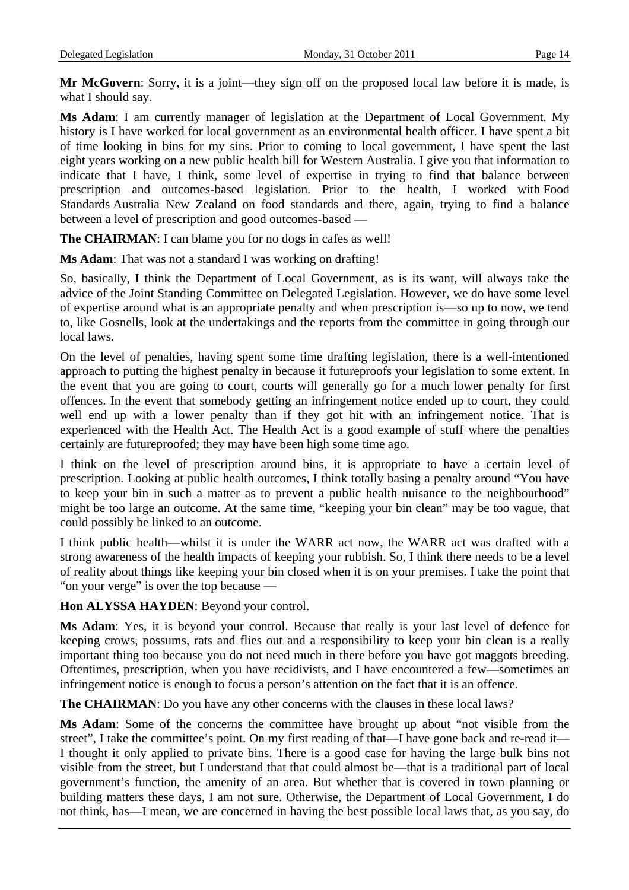**Mr McGovern:** Sorry, it is a joint—they sign off on the proposed local law before it is made, is what I should say.

**Ms Adam**: I am currently manager of legislation at the Department of Local Government. My history is I have worked for local government as an environmental health officer. I have spent a bit of time looking in bins for my sins. Prior to coming to local government, I have spent the last eight years working on a new public health bill for Western Australia. I give you that information to indicate that I have, I think, some level of expertise in trying to find that balance between prescription and outcomes-based legislation. Prior to the health, I worked with Food Standards Australia New Zealand on food standards and there, again, trying to find a balance between a level of prescription and good outcomes-based —

**The CHAIRMAN**: I can blame you for no dogs in cafes as well!

**Ms Adam**: That was not a standard I was working on drafting!

So, basically, I think the Department of Local Government, as is its want, will always take the advice of the Joint Standing Committee on Delegated Legislation. However, we do have some level of expertise around what is an appropriate penalty and when prescription is—so up to now, we tend to, like Gosnells, look at the undertakings and the reports from the committee in going through our local laws.

On the level of penalties, having spent some time drafting legislation, there is a well-intentioned approach to putting the highest penalty in because it futureproofs your legislation to some extent. In the event that you are going to court, courts will generally go for a much lower penalty for first offences. In the event that somebody getting an infringement notice ended up to court, they could well end up with a lower penalty than if they got hit with an infringement notice. That is experienced with the Health Act. The Health Act is a good example of stuff where the penalties certainly are futureproofed; they may have been high some time ago.

I think on the level of prescription around bins, it is appropriate to have a certain level of prescription. Looking at public health outcomes, I think totally basing a penalty around "You have to keep your bin in such a matter as to prevent a public health nuisance to the neighbourhood" might be too large an outcome. At the same time, "keeping your bin clean" may be too vague, that could possibly be linked to an outcome.

I think public health—whilst it is under the WARR act now, the WARR act was drafted with a strong awareness of the health impacts of keeping your rubbish. So, I think there needs to be a level of reality about things like keeping your bin closed when it is on your premises. I take the point that "on your verge" is over the top because —

**Hon ALYSSA HAYDEN**: Beyond your control.

**Ms Adam**: Yes, it is beyond your control. Because that really is your last level of defence for keeping crows, possums, rats and flies out and a responsibility to keep your bin clean is a really important thing too because you do not need much in there before you have got maggots breeding. Oftentimes, prescription, when you have recidivists, and I have encountered a few—sometimes an infringement notice is enough to focus a person's attention on the fact that it is an offence.

**The CHAIRMAN**: Do you have any other concerns with the clauses in these local laws?

**Ms Adam**: Some of the concerns the committee have brought up about "not visible from the street", I take the committee's point. On my first reading of that—I have gone back and re-read it— I thought it only applied to private bins. There is a good case for having the large bulk bins not visible from the street, but I understand that that could almost be—that is a traditional part of local government's function, the amenity of an area. But whether that is covered in town planning or building matters these days, I am not sure. Otherwise, the Department of Local Government, I do not think, has—I mean, we are concerned in having the best possible local laws that, as you say, do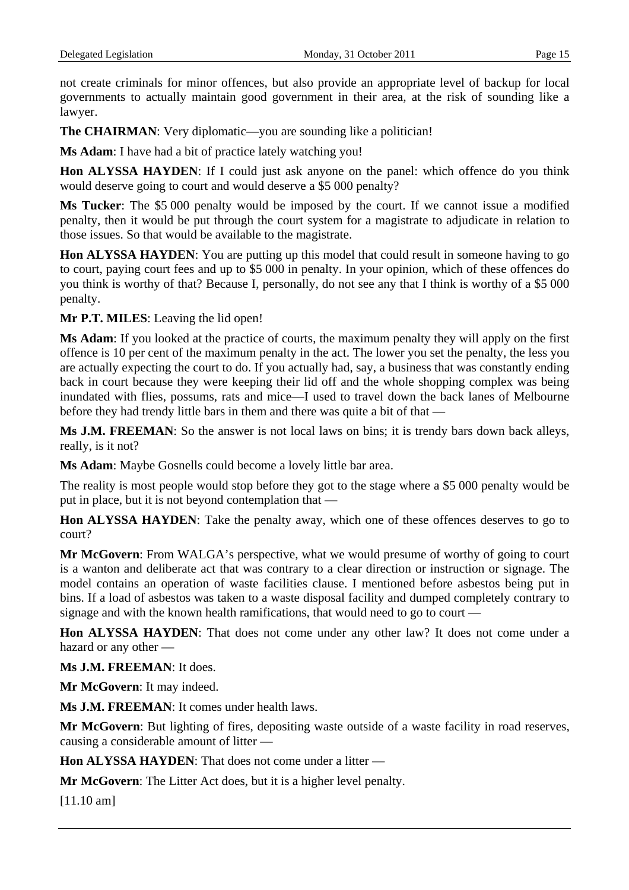not create criminals for minor offences, but also provide an appropriate level of backup for local governments to actually maintain good government in their area, at the risk of sounding like a lawyer.

The CHAIRMAN: Very diplomatic—you are sounding like a politician!

**Ms Adam**: I have had a bit of practice lately watching you!

**Hon ALYSSA HAYDEN**: If I could just ask anyone on the panel: which offence do you think would deserve going to court and would deserve a \$5 000 penalty?

**Ms Tucker**: The \$5 000 penalty would be imposed by the court. If we cannot issue a modified penalty, then it would be put through the court system for a magistrate to adjudicate in relation to those issues. So that would be available to the magistrate.

**Hon ALYSSA HAYDEN**: You are putting up this model that could result in someone having to go to court, paying court fees and up to \$5 000 in penalty. In your opinion, which of these offences do you think is worthy of that? Because I, personally, do not see any that I think is worthy of a \$5 000 penalty.

**Mr P.T. MILES**: Leaving the lid open!

**Ms Adam**: If you looked at the practice of courts, the maximum penalty they will apply on the first offence is 10 per cent of the maximum penalty in the act. The lower you set the penalty, the less you are actually expecting the court to do. If you actually had, say, a business that was constantly ending back in court because they were keeping their lid off and the whole shopping complex was being inundated with flies, possums, rats and mice—I used to travel down the back lanes of Melbourne before they had trendy little bars in them and there was quite a bit of that —

**Ms J.M. FREEMAN**: So the answer is not local laws on bins; it is trendy bars down back alleys, really, is it not?

**Ms Adam**: Maybe Gosnells could become a lovely little bar area.

The reality is most people would stop before they got to the stage where a \$5 000 penalty would be put in place, but it is not beyond contemplation that —

**Hon ALYSSA HAYDEN**: Take the penalty away, which one of these offences deserves to go to court?

**Mr McGovern**: From WALGA's perspective, what we would presume of worthy of going to court is a wanton and deliberate act that was contrary to a clear direction or instruction or signage. The model contains an operation of waste facilities clause. I mentioned before asbestos being put in bins. If a load of asbestos was taken to a waste disposal facility and dumped completely contrary to signage and with the known health ramifications, that would need to go to court —

**Hon ALYSSA HAYDEN**: That does not come under any other law? It does not come under a hazard or any other —

**Ms J.M. FREEMAN**: It does.

**Mr McGovern**: It may indeed.

**Ms J.M. FREEMAN**: It comes under health laws.

**Mr McGovern**: But lighting of fires, depositing waste outside of a waste facility in road reserves, causing a considerable amount of litter —

**Hon ALYSSA HAYDEN:** That does not come under a litter –

**Mr McGovern**: The Litter Act does, but it is a higher level penalty.

[11.10 am]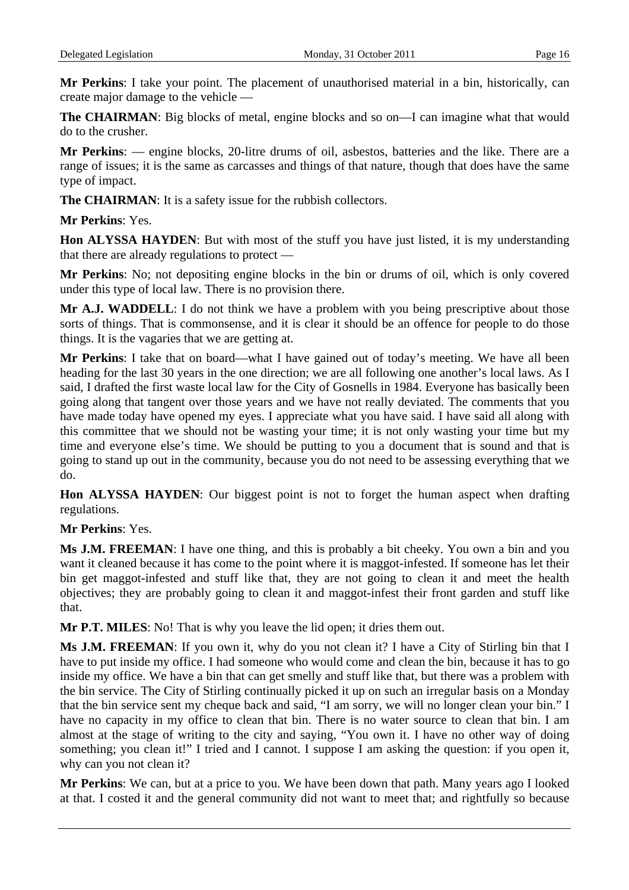**Mr Perkins**: I take your point. The placement of unauthorised material in a bin, historically, can create major damage to the vehicle —

**The CHAIRMAN:** Big blocks of metal, engine blocks and so on—I can imagine what that would do to the crusher.

**Mr Perkins**: — engine blocks, 20-litre drums of oil, asbestos, batteries and the like. There are a range of issues; it is the same as carcasses and things of that nature, though that does have the same type of impact.

**The CHAIRMAN**: It is a safety issue for the rubbish collectors.

### **Mr Perkins**: Yes.

**Hon ALYSSA HAYDEN**: But with most of the stuff you have just listed, it is my understanding that there are already regulations to protect —

**Mr Perkins**: No; not depositing engine blocks in the bin or drums of oil, which is only covered under this type of local law. There is no provision there.

**Mr A.J. WADDELL**: I do not think we have a problem with you being prescriptive about those sorts of things. That is commonsense, and it is clear it should be an offence for people to do those things. It is the vagaries that we are getting at.

**Mr Perkins**: I take that on board—what I have gained out of today's meeting. We have all been heading for the last 30 years in the one direction; we are all following one another's local laws. As I said, I drafted the first waste local law for the City of Gosnells in 1984. Everyone has basically been going along that tangent over those years and we have not really deviated. The comments that you have made today have opened my eyes. I appreciate what you have said. I have said all along with this committee that we should not be wasting your time; it is not only wasting your time but my time and everyone else's time. We should be putting to you a document that is sound and that is going to stand up out in the community, because you do not need to be assessing everything that we do.

**Hon ALYSSA HAYDEN**: Our biggest point is not to forget the human aspect when drafting regulations.

**Mr Perkins**: Yes.

**Ms J.M. FREEMAN**: I have one thing, and this is probably a bit cheeky. You own a bin and you want it cleaned because it has come to the point where it is maggot-infested. If someone has let their bin get maggot-infested and stuff like that, they are not going to clean it and meet the health objectives; they are probably going to clean it and maggot-infest their front garden and stuff like that.

**Mr P.T. MILES:** No! That is why you leave the lid open; it dries them out.

**Ms J.M. FREEMAN**: If you own it, why do you not clean it? I have a City of Stirling bin that I have to put inside my office. I had someone who would come and clean the bin, because it has to go inside my office. We have a bin that can get smelly and stuff like that, but there was a problem with the bin service. The City of Stirling continually picked it up on such an irregular basis on a Monday that the bin service sent my cheque back and said, "I am sorry, we will no longer clean your bin." I have no capacity in my office to clean that bin. There is no water source to clean that bin. I am almost at the stage of writing to the city and saying, "You own it. I have no other way of doing something; you clean it!" I tried and I cannot. I suppose I am asking the question: if you open it, why can you not clean it?

**Mr Perkins**: We can, but at a price to you. We have been down that path. Many years ago I looked at that. I costed it and the general community did not want to meet that; and rightfully so because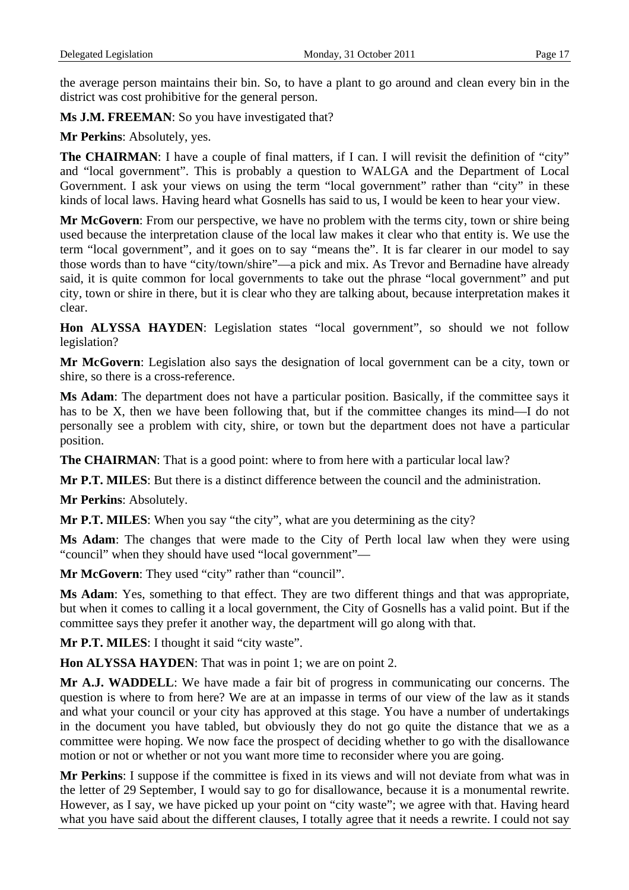the average person maintains their bin. So, to have a plant to go around and clean every bin in the district was cost prohibitive for the general person.

Ms **J.M. FREEMAN**: So you have investigated that?

**Mr Perkins**: Absolutely, yes.

**The CHAIRMAN:** I have a couple of final matters, if I can. I will revisit the definition of "city" and "local government". This is probably a question to WALGA and the Department of Local Government. I ask your views on using the term "local government" rather than "city" in these kinds of local laws. Having heard what Gosnells has said to us, I would be keen to hear your view.

**Mr McGovern**: From our perspective, we have no problem with the terms city, town or shire being used because the interpretation clause of the local law makes it clear who that entity is. We use the term "local government", and it goes on to say "means the". It is far clearer in our model to say those words than to have "city/town/shire"—a pick and mix. As Trevor and Bernadine have already said, it is quite common for local governments to take out the phrase "local government" and put city, town or shire in there, but it is clear who they are talking about, because interpretation makes it clear.

**Hon ALYSSA HAYDEN**: Legislation states "local government", so should we not follow legislation?

**Mr McGovern**: Legislation also says the designation of local government can be a city, town or shire, so there is a cross-reference.

**Ms Adam**: The department does not have a particular position. Basically, if the committee says it has to be X, then we have been following that, but if the committee changes its mind—I do not personally see a problem with city, shire, or town but the department does not have a particular position.

**The CHAIRMAN**: That is a good point: where to from here with a particular local law?

**Mr P.T. MILES**: But there is a distinct difference between the council and the administration.

**Mr Perkins**: Absolutely.

**Mr P.T. MILES**: When you say "the city", what are you determining as the city?

**Ms Adam**: The changes that were made to the City of Perth local law when they were using "council" when they should have used "local government"—

**Mr McGovern**: They used "city" rather than "council".

**Ms Adam**: Yes, something to that effect. They are two different things and that was appropriate, but when it comes to calling it a local government, the City of Gosnells has a valid point. But if the committee says they prefer it another way, the department will go along with that.

**Mr P.T. MILES**: I thought it said "city waste".

**Hon ALYSSA HAYDEN**: That was in point 1; we are on point 2.

**Mr A.J. WADDELL**: We have made a fair bit of progress in communicating our concerns. The question is where to from here? We are at an impasse in terms of our view of the law as it stands and what your council or your city has approved at this stage. You have a number of undertakings in the document you have tabled, but obviously they do not go quite the distance that we as a committee were hoping. We now face the prospect of deciding whether to go with the disallowance motion or not or whether or not you want more time to reconsider where you are going.

**Mr Perkins**: I suppose if the committee is fixed in its views and will not deviate from what was in the letter of 29 September, I would say to go for disallowance, because it is a monumental rewrite. However, as I say, we have picked up your point on "city waste"; we agree with that. Having heard what you have said about the different clauses, I totally agree that it needs a rewrite. I could not say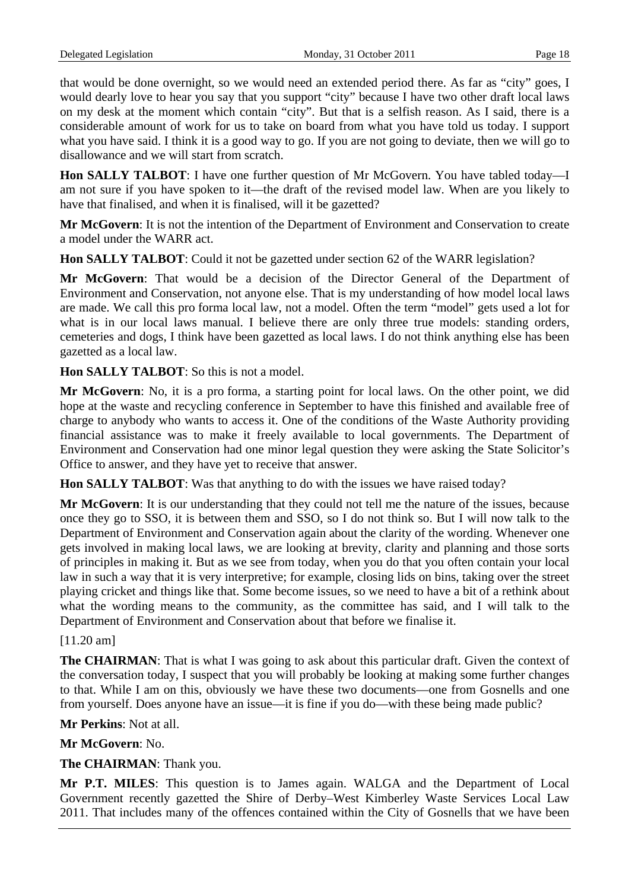that would be done overnight, so we would need an extended period there. As far as "city" goes, I would dearly love to hear you say that you support "city" because I have two other draft local laws on my desk at the moment which contain "city". But that is a selfish reason. As I said, there is a considerable amount of work for us to take on board from what you have told us today. I support what you have said. I think it is a good way to go. If you are not going to deviate, then we will go to disallowance and we will start from scratch.

**Hon SALLY TALBOT**: I have one further question of Mr McGovern. You have tabled today—I am not sure if you have spoken to it—the draft of the revised model law. When are you likely to have that finalised, and when it is finalised, will it be gazetted?

**Mr McGovern**: It is not the intention of the Department of Environment and Conservation to create a model under the WARR act.

**Hon SALLY TALBOT**: Could it not be gazetted under section 62 of the WARR legislation?

**Mr McGovern**: That would be a decision of the Director General of the Department of Environment and Conservation, not anyone else. That is my understanding of how model local laws are made. We call this pro forma local law, not a model. Often the term "model" gets used a lot for what is in our local laws manual. I believe there are only three true models: standing orders, cemeteries and dogs, I think have been gazetted as local laws. I do not think anything else has been gazetted as a local law.

**Hon SALLY TALBOT**: So this is not a model.

**Mr McGovern**: No, it is a pro forma, a starting point for local laws. On the other point, we did hope at the waste and recycling conference in September to have this finished and available free of charge to anybody who wants to access it. One of the conditions of the Waste Authority providing financial assistance was to make it freely available to local governments. The Department of Environment and Conservation had one minor legal question they were asking the State Solicitor's Office to answer, and they have yet to receive that answer.

**Hon SALLY TALBOT**: Was that anything to do with the issues we have raised today?

**Mr McGovern**: It is our understanding that they could not tell me the nature of the issues, because once they go to SSO, it is between them and SSO, so I do not think so. But I will now talk to the Department of Environment and Conservation again about the clarity of the wording. Whenever one gets involved in making local laws, we are looking at brevity, clarity and planning and those sorts of principles in making it. But as we see from today, when you do that you often contain your local law in such a way that it is very interpretive; for example, closing lids on bins, taking over the street playing cricket and things like that. Some become issues, so we need to have a bit of a rethink about what the wording means to the community, as the committee has said, and I will talk to the Department of Environment and Conservation about that before we finalise it.

[11.20 am]

**The CHAIRMAN**: That is what I was going to ask about this particular draft. Given the context of the conversation today, I suspect that you will probably be looking at making some further changes to that. While I am on this, obviously we have these two documents—one from Gosnells and one from yourself. Does anyone have an issue—it is fine if you do—with these being made public?

**Mr Perkins**: Not at all.

**Mr McGovern**: No.

**The CHAIRMAN**: Thank you.

**Mr P.T. MILES**: This question is to James again. WALGA and the Department of Local Government recently gazetted the Shire of Derby–West Kimberley Waste Services Local Law 2011. That includes many of the offences contained within the City of Gosnells that we have been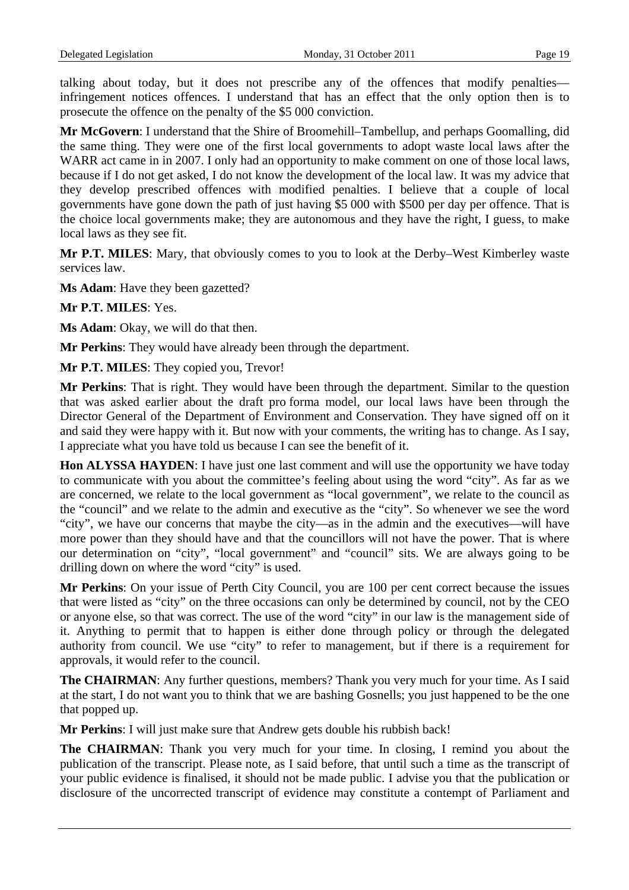talking about today, but it does not prescribe any of the offences that modify penalties infringement notices offences. I understand that has an effect that the only option then is to prosecute the offence on the penalty of the \$5 000 conviction.

**Mr McGovern**: I understand that the Shire of Broomehill–Tambellup, and perhaps Goomalling, did the same thing. They were one of the first local governments to adopt waste local laws after the WARR act came in in 2007. I only had an opportunity to make comment on one of those local laws, because if I do not get asked, I do not know the development of the local law. It was my advice that they develop prescribed offences with modified penalties. I believe that a couple of local governments have gone down the path of just having \$5 000 with \$500 per day per offence. That is the choice local governments make; they are autonomous and they have the right, I guess, to make local laws as they see fit.

**Mr P.T. MILES**: Mary, that obviously comes to you to look at the Derby–West Kimberley waste services law.

**Ms Adam**: Have they been gazetted?

**Mr P.T. MILES**: Yes.

**Ms Adam**: Okay, we will do that then.

**Mr Perkins**: They would have already been through the department.

**Mr P.T. MILES**: They copied you, Trevor!

**Mr Perkins**: That is right. They would have been through the department. Similar to the question that was asked earlier about the draft pro forma model, our local laws have been through the Director General of the Department of Environment and Conservation. They have signed off on it and said they were happy with it. But now with your comments, the writing has to change. As I say, I appreciate what you have told us because I can see the benefit of it.

**Hon ALYSSA HAYDEN**: I have just one last comment and will use the opportunity we have today to communicate with you about the committee's feeling about using the word "city". As far as we are concerned, we relate to the local government as "local government", we relate to the council as the "council" and we relate to the admin and executive as the "city". So whenever we see the word "city", we have our concerns that maybe the city—as in the admin and the executives—will have more power than they should have and that the councillors will not have the power. That is where our determination on "city", "local government" and "council" sits. We are always going to be drilling down on where the word "city" is used.

**Mr Perkins**: On your issue of Perth City Council, you are 100 per cent correct because the issues that were listed as "city" on the three occasions can only be determined by council, not by the CEO or anyone else, so that was correct. The use of the word "city" in our law is the management side of it. Anything to permit that to happen is either done through policy or through the delegated authority from council. We use "city" to refer to management, but if there is a requirement for approvals, it would refer to the council.

**The CHAIRMAN:** Any further questions, members? Thank you very much for your time. As I said at the start, I do not want you to think that we are bashing Gosnells; you just happened to be the one that popped up.

**Mr Perkins**: I will just make sure that Andrew gets double his rubbish back!

**The CHAIRMAN**: Thank you very much for your time. In closing, I remind you about the publication of the transcript. Please note, as I said before, that until such a time as the transcript of your public evidence is finalised, it should not be made public. I advise you that the publication or disclosure of the uncorrected transcript of evidence may constitute a contempt of Parliament and